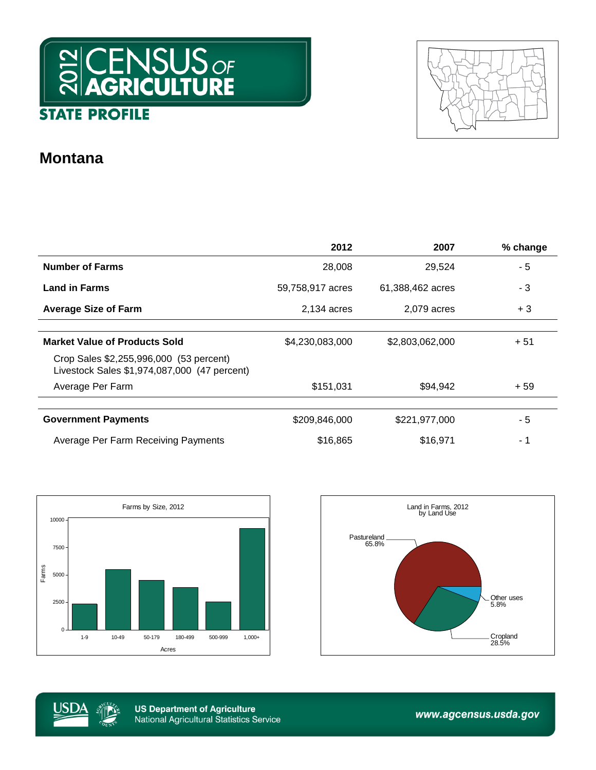



## **Montana**

|                                                                                         | 2012             | 2007             | % change |
|-----------------------------------------------------------------------------------------|------------------|------------------|----------|
| <b>Number of Farms</b>                                                                  | 28,008           | 29,524           | - 5      |
| <b>Land in Farms</b>                                                                    | 59,758,917 acres | 61,388,462 acres | - 3      |
| <b>Average Size of Farm</b>                                                             | 2,134 acres      | 2,079 acres      | $+3$     |
|                                                                                         |                  |                  |          |
| <b>Market Value of Products Sold</b>                                                    | \$4,230,083,000  | \$2,803,062,000  | $+51$    |
| Crop Sales \$2,255,996,000 (53 percent)<br>Livestock Sales \$1,974,087,000 (47 percent) |                  |                  |          |
| Average Per Farm                                                                        | \$151,031        | \$94,942         | $+59$    |
|                                                                                         |                  |                  |          |
| <b>Government Payments</b>                                                              | \$209,846,000    | \$221,977,000    | - 5      |
| Average Per Farm Receiving Payments                                                     | \$16,865         | \$16,971         | - 1      |







**US Department of Agriculture National Agricultural Statistics Service** 

www.agcensus.usda.gov